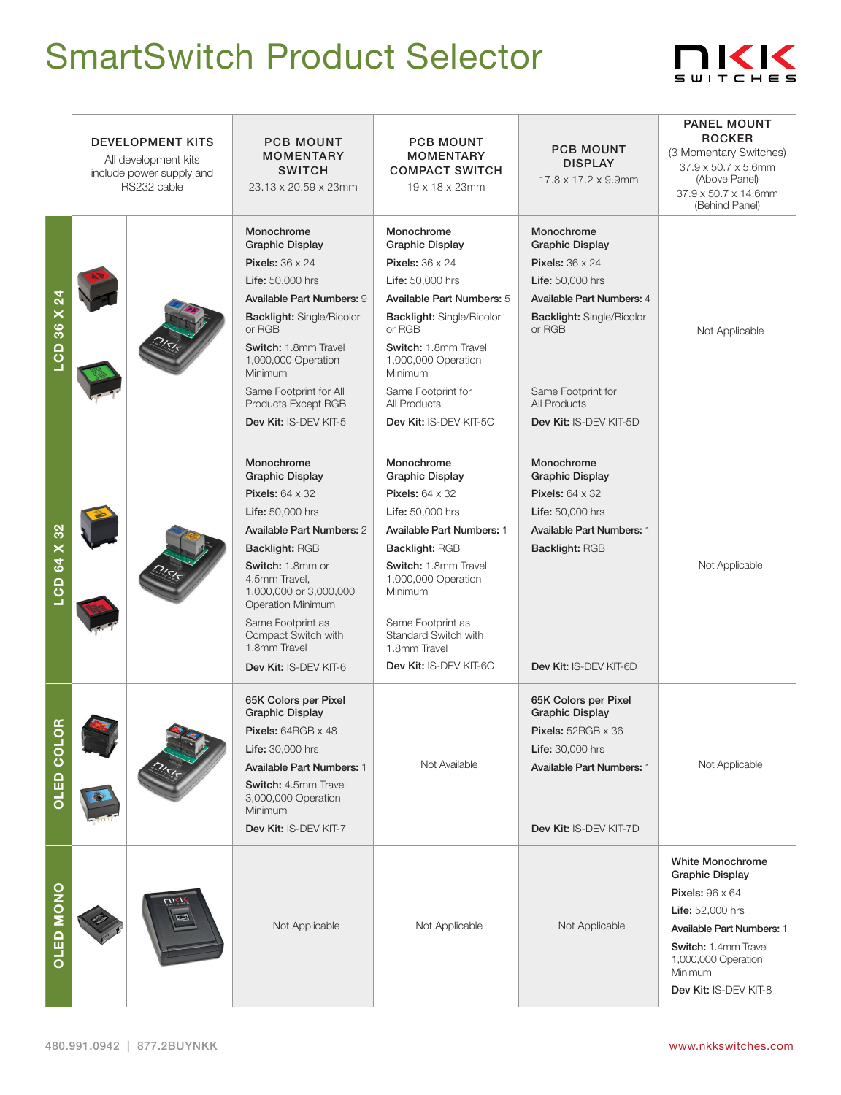## SmartSwitch Product Selector



|                      | <b>DEVELOPMENT KITS</b><br>All development kits<br>include power supply and<br>RS232 cable |  | <b>PCB MOUNT</b><br><b>MOMENTARY</b><br><b>SWITCH</b><br>23.13 x 20.59 x 23mm                                                                                                                                                                                                                                                   | <b>PCB MOUNT</b><br><b>MOMENTARY</b><br><b>COMPACT SWITCH</b><br>19 x 18 x 23mm                                                                                                                                                                                                                         | <b>PCB MOUNT</b><br><b>DISPLAY</b><br>17.8 x 17.2 x 9.9mm                                                                                                                                                              | <b>PANEL MOUNT</b><br><b>ROCKER</b><br>(3 Momentary Switches)<br>37.9 x 50.7 x 5.6mm<br>(Above Panel)<br>37.9 x 50.7 x 14.6mm<br>(Behind Panel)                                                                               |
|----------------------|--------------------------------------------------------------------------------------------|--|---------------------------------------------------------------------------------------------------------------------------------------------------------------------------------------------------------------------------------------------------------------------------------------------------------------------------------|---------------------------------------------------------------------------------------------------------------------------------------------------------------------------------------------------------------------------------------------------------------------------------------------------------|------------------------------------------------------------------------------------------------------------------------------------------------------------------------------------------------------------------------|-------------------------------------------------------------------------------------------------------------------------------------------------------------------------------------------------------------------------------|
| LCD 36 X 24          |                                                                                            |  | Monochrome<br><b>Graphic Display</b><br><b>Pixels: 36 x 24</b><br>Life: 50,000 hrs<br>Available Part Numbers: 9<br><b>Backlight: Single/Bicolor</b><br>or RGB<br>Switch: 1.8mm Travel<br>1,000,000 Operation<br>Minimum<br>Same Footprint for All<br>Products Except RGB<br>Dev Kit: IS-DEV KIT-5                               | Monochrome<br><b>Graphic Display</b><br><b>Pixels: 36 x 24</b><br>Life: 50,000 hrs<br>Available Part Numbers: 5<br>Backlight: Single/Bicolor<br>or RGB<br>Switch: 1.8mm Travel<br>1,000,000 Operation<br>Minimum<br>Same Footprint for<br>All Products<br>Dev Kit: IS-DEV KIT-5C                        | Monochrome<br><b>Graphic Display</b><br><b>Pixels: 36 x 24</b><br>Life: 50,000 hrs<br>Available Part Numbers: 4<br>Backlight: Single/Bicolor<br>or RGB<br>Same Footprint for<br>All Products<br>Dev Kit: IS-DEV KIT-5D | Not Applicable                                                                                                                                                                                                                |
| LCD 64 X 32          |                                                                                            |  | Monochrome<br><b>Graphic Display</b><br><b>Pixels: 64 x 32</b><br><b>Life: 50,000 hrs</b><br><b>Available Part Numbers: 2</b><br><b>Backlight: RGB</b><br>Switch: 1.8mm or<br>4.5mm Travel,<br>1,000,000 or 3,000,000<br>Operation Minimum<br>Same Footprint as<br>Compact Switch with<br>1.8mm Travel<br>Dev Kit: IS-DEV KIT-6 | Monochrome<br><b>Graphic Display</b><br>Pixels: $64 \times 32$<br><b>Life:</b> 50,000 hrs<br><b>Available Part Numbers: 1</b><br><b>Backlight: RGB</b><br>Switch: 1.8mm Travel<br>1,000,000 Operation<br>Minimum<br>Same Footprint as<br>Standard Switch with<br>1.8mm Travel<br>Dev Kit: IS-DEV KIT-6C | Monochrome<br><b>Graphic Display</b><br>Pixels: $64 \times 32$<br><b>Life: 50,000 hrs</b><br>Available Part Numbers: 1<br><b>Backlight: RGB</b><br>Dev Kit: IS-DEV KIT-6D                                              | Not Applicable                                                                                                                                                                                                                |
| a<br><b>OSTED CO</b> |                                                                                            |  | 65K Colors per Pixel<br><b>Graphic Display</b><br>Pixels: 64RGB x 48<br>Life: 30,000 hrs<br><b>Available Part Numbers: 1</b><br>Switch: 4.5mm Travel<br>3,000,000 Operation<br>Minimum<br>Dev Kit: IS-DEV KIT-7                                                                                                                 | Not Available                                                                                                                                                                                                                                                                                           | 65K Colors per Pixel<br><b>Graphic Display</b><br>Pixels: 52RGB x 36<br>Life: 30,000 hrs<br><b>Available Part Numbers: 1</b><br>Dev Kit: IS-DEV KIT-7D                                                                 | Not Applicable                                                                                                                                                                                                                |
| <b>OLED MONO</b>     |                                                                                            |  | Not Applicable                                                                                                                                                                                                                                                                                                                  | Not Applicable                                                                                                                                                                                                                                                                                          | Not Applicable                                                                                                                                                                                                         | <b>White Monochrome</b><br><b>Graphic Display</b><br><b>Pixels: 96 x 64</b><br><b>Life:</b> 52,000 hrs<br><b>Available Part Numbers: 1</b><br>Switch: 1.4mm Travel<br>1,000,000 Operation<br>Minimum<br>Dev Kit: IS-DEV KIT-8 |